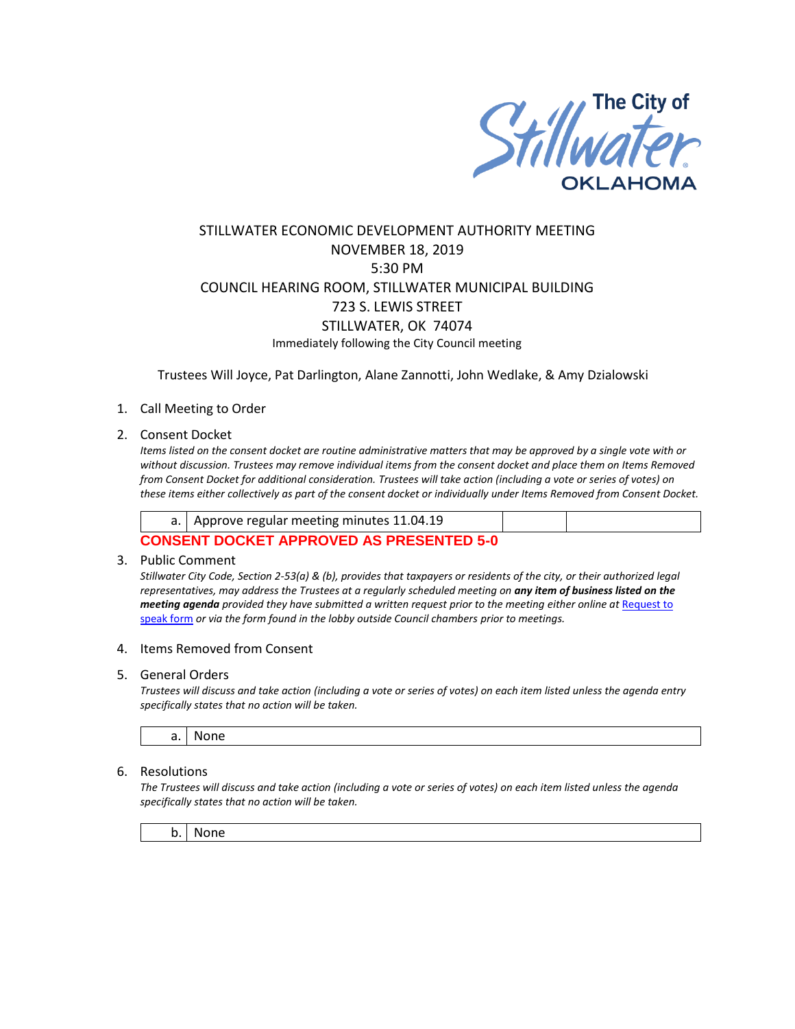

# STILLWATER ECONOMIC DEVELOPMENT AUTHORITY MEETING NOVEMBER 18, 2019 5:30 PM COUNCIL HEARING ROOM, STILLWATER MUNICIPAL BUILDING 723 S. LEWIS STREET STILLWATER, OK 74074 Immediately following the City Council meeting

Trustees Will Joyce, Pat Darlington, Alane Zannotti, John Wedlake, & Amy Dzialowski

## 1. Call Meeting to Order

2. Consent Docket

*Items listed on the consent docket are routine administrative matters that may be approved by a single vote with or without discussion. Trustees may remove individual items from the consent docket and place them on Items Removed from Consent Docket for additional consideration. Trustees will take action (including a vote or series of votes) on these items either collectively as part of the consent docket or individually under Items Removed from Consent Docket.*

| a.   Approve regular meeting minutes 11.04.19   |  |
|-------------------------------------------------|--|
| <b>CONSENT DOCKET APPROVED AS PRESENTED 5-0</b> |  |

#### 3. Public Comment

*Stillwater City Code, Section 2-53(a) & (b), provides that taxpayers or residents of the city, or their authorized legal representatives, may address the Trustees at a regularly scheduled meeting on any item of business listed on the meeting agenda provided they have submitted a written request prior to the meeting either online at Request to* [speak form](http://stillwater.org/page/home/government/mayor-city-council/meetings-agendas-minutes/online-request-to-speak-at-city-council) *or via the form found in the lobby outside Council chambers prior to meetings.*

#### 4. Items Removed from Consent

#### 5. General Orders

*Trustees will discuss and take action (including a vote or series of votes) on each item listed unless the agenda entry specifically states that no action will be taken.*

a. None

## 6. Resolutions

*The Trustees will discuss and take action (including a vote or series of votes) on each item listed unless the agenda specifically states that no action will be taken.*

b. None